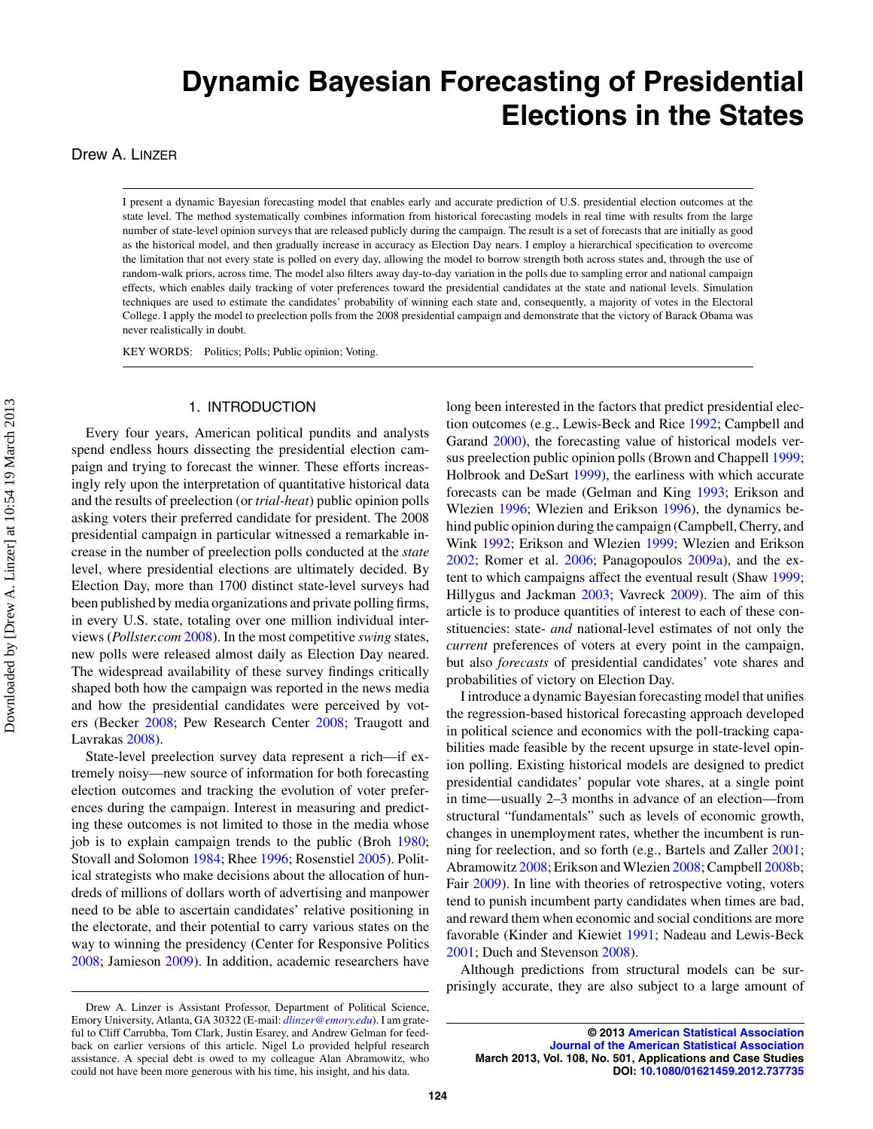# **Dynamic Bayesian Forecasting of Presidential Elections in the States**

Drew A. LINZER

I present a dynamic Bayesian forecasting model that enables early and accurate prediction of U.S. presidential election outcomes at the state level. The method systematically combines information from historical forecasting models in real time with results from the large number of state-level opinion surveys that are released publicly during the campaign. The result is a set of forecasts that are initially as good as the historical model, and then gradually increase in accuracy as Election Day nears. I employ a hierarchical specification to overcome the limitation that not every state is polled on every day, allowing the model to borrow strength both across states and, through the use of random-walk priors, across time. The model also filters away day-to-day variation in the polls due to sampling error and national campaign effects, which enables daily tracking of voter preferences toward the presidential candidates at the state and national levels. Simulation techniques are used to estimate the candidates' probability of winning each state and, consequently, a majority of votes in the Electoral College. I apply the model to preelection polls from the 2008 presidential campaign and demonstrate that the victory of Barack Obama was never realistically in doubt.

KEY WORDS: Politics; Polls; Public opinion; Voting.

# 1. INTRODUCTION

Every four years, American political pundits and analysts spend endless hours dissecting the presidential election campaign and trying to forecast the winner. These efforts increasingly rely upon the interpretation of quantitative historical data and the results of preelection (or *trial-heat*) public opinion polls asking voters their preferred candidate for president. The 2008 presidential campaign in particular witnessed a remarkable increase in the number of preelection polls conducted at the *state* level, where presidential elections are ultimately decided. By Election Day, more than 1700 distinct state-level surveys had been published by media organizations and private polling firms, in every U.S. state, totaling over one million individual interviews (*Pollster.com* [2008\)](#page-10-0). In the most competitive *swing* states, new polls were released almost daily as Election Day neared. The widespread availability of these survey findings critically shaped both how the campaign was reported in the news media and how the presidential candidates were perceived by voters (Becker [2008;](#page-9-0) Pew Research Center [2008;](#page-10-1) Traugott and Lavrakas [2008\)](#page-10-2).

<span id="page-0-29"></span><span id="page-0-28"></span><span id="page-0-23"></span><span id="page-0-2"></span>State-level preelection survey data represent a rich—if extremely noisy—new source of information for both forecasting election outcomes and tracking the evolution of voter preferences during the campaign. Interest in measuring and predicting these outcomes is not limited to those in the media whose job is to explain campaign trends to the public (Broh [1980;](#page-9-1) Stovall and Solomon [1984;](#page-10-3) Rhee [1996;](#page-10-4) Rosenstiel [2005\)](#page-10-5). Political strategists who make decisions about the allocation of hundreds of millions of dollars worth of advertising and manpower need to be able to ascertain candidates' relative positioning in the electorate, and their potential to carry various states on the way to winning the presidency (Center for Responsive Politics [2008;](#page-10-6) Jamieson [2009\)](#page-10-7). In addition, academic researchers have

<span id="page-0-31"></span><span id="page-0-19"></span><span id="page-0-16"></span><span id="page-0-14"></span><span id="page-0-10"></span><span id="page-0-7"></span><span id="page-0-4"></span>long been interested in the factors that predict presidential election outcomes (e.g., Lewis-Beck and Rice [1992;](#page-10-8) Campbell and Garand [2000\)](#page-10-9), the forecasting value of historical models versus preelection public opinion polls (Brown and Chappell [1999;](#page-9-2) Holbrook and DeSart [1999\)](#page-10-10), the earliness with which accurate forecasts can be made (Gelman and King [1993;](#page-10-11) Erikson and Wlezien [1996;](#page-10-12) Wlezien and Erikson [1996\)](#page-10-13), the dynamics behind public opinion during the campaign (Campbell, Cherry, and Wink [1992;](#page-10-14) Erikson and Wlezien [1999;](#page-10-15) Wlezien and Erikson [2002;](#page-10-16) Romer et al. [2006;](#page-10-17) Panagopoulos [2009a\)](#page-10-18), and the extent to which campaigns affect the eventual result (Shaw [1999;](#page-10-19) Hillygus and Jackman [2003;](#page-10-20) Vavreck [2009\)](#page-10-21). The aim of this article is to produce quantities of interest to each of these constituencies: state- *and* national-level estimates of not only the *current* preferences of voters at every point in the campaign, but also *forecasts* of presidential candidates' vote shares and probabilities of victory on Election Day.

<span id="page-0-32"></span><span id="page-0-30"></span><span id="page-0-27"></span><span id="page-0-25"></span><span id="page-0-22"></span><span id="page-0-21"></span><span id="page-0-15"></span><span id="page-0-11"></span><span id="page-0-6"></span>I introduce a dynamic Bayesian forecasting model that unifies the regression-based historical forecasting approach developed in political science and economics with the poll-tracking capabilities made feasible by the recent upsurge in state-level opinion polling. Existing historical models are designed to predict presidential candidates' popular vote shares, at a single point in time—usually 2–3 months in advance of an election—from structural "fundamentals" such as levels of economic growth, changes in unemployment rates, whether the incumbent is running for reelection, and so forth (e.g., Bartels and Zaller [2001;](#page-9-3) Abramowitz [2008;](#page-9-4) Erikson and Wlezien [2008;](#page-10-22) Campbell [2008b;](#page-10-23) Fair [2009\)](#page-10-24). In line with theories of retrospective voting, voters tend to punish incumbent party candidates when times are bad, and reward them when economic and social conditions are more favorable (Kinder and Kiewiet [1991;](#page-10-25) Nadeau and Lewis-Beck [2001;](#page-10-26) Duch and Stevenson [2008\)](#page-10-27).

<span id="page-0-26"></span><span id="page-0-24"></span><span id="page-0-20"></span><span id="page-0-13"></span><span id="page-0-12"></span><span id="page-0-3"></span><span id="page-0-0"></span>Although predictions from structural models can be surprisingly accurate, they are also subject to a large amount of

<span id="page-0-17"></span><span id="page-0-8"></span>Drew A. Linzer is Assistant Professor, Department of Political Science, Emory University, Atlanta, GA 30322 (E-mail: *[dlinzer@emory.edu](mailto:dlinzer@emory.edu)*). I am grateful to Cliff Carrubba, Tom Clark, Justin Esarey, and Andrew Gelman for feedback on earlier versions of this article. Nigel Lo provided helpful research assistance. A special debt is owed to my colleague Alan Abramowitz, who could not have been more generous with his time, his insight, and his data.

<span id="page-0-18"></span><span id="page-0-9"></span><span id="page-0-5"></span><span id="page-0-1"></span>**<sup>© 2013</sup> [American Statistical Association](http://www.amstat.org) [Journal of the American Statistical Association](http://pubs.amstat.org/loi/jasa) March 2013, Vol. 108, No. 501, Applications and Case Studies DOI: [10.1080/01621459.2012.737735](http://dx.doi.org/10.1080/01621459.2012.737735)**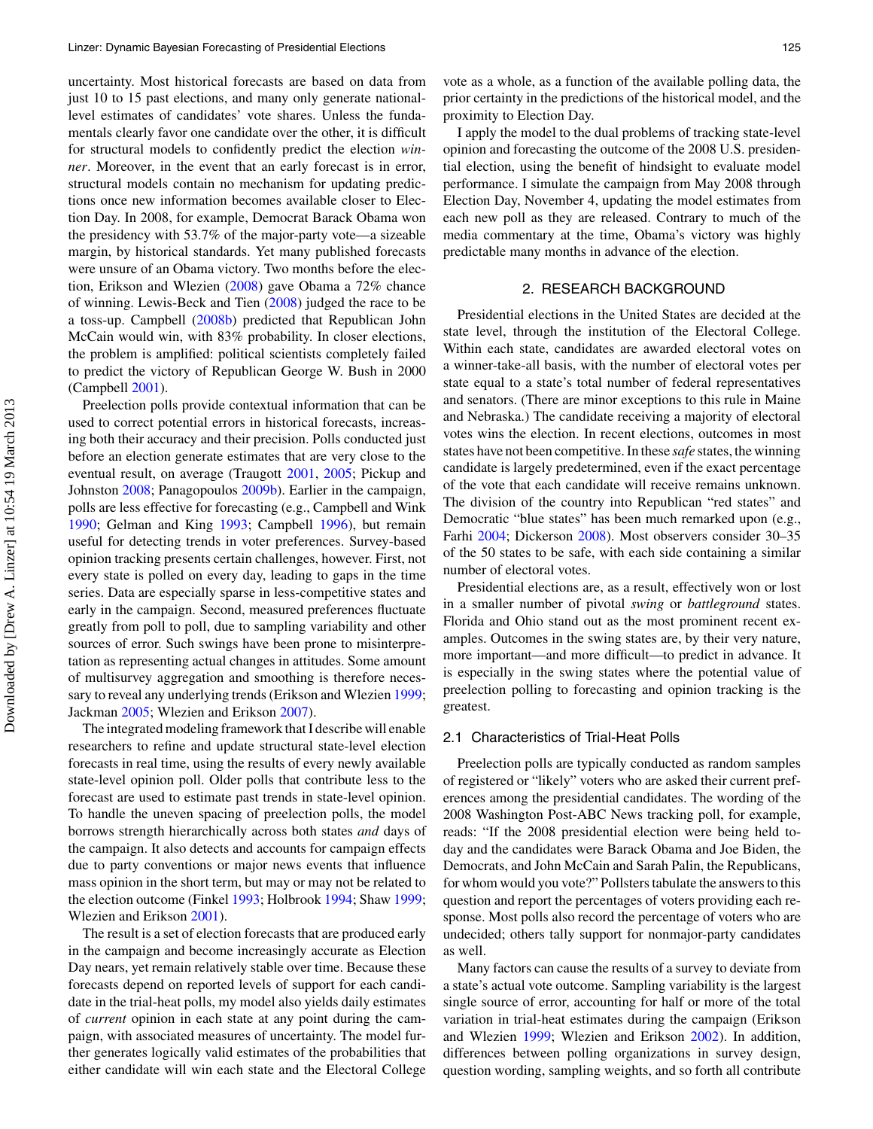uncertainty. Most historical forecasts are based on data from just 10 to 15 past elections, and many only generate nationallevel estimates of candidates' vote shares. Unless the fundamentals clearly favor one candidate over the other, it is difficult for structural models to confidently predict the election *winner*. Moreover, in the event that an early forecast is in error, structural models contain no mechanism for updating predictions once new information becomes available closer to Election Day. In 2008, for example, Democrat Barack Obama won the presidency with 53.7% of the major-party vote—a sizeable margin, by historical standards. Yet many published forecasts were unsure of an Obama victory. Two months before the election, Erikson and Wlezien [\(2008\)](#page-10-22) gave Obama a 72% chance of winning. Lewis-Beck and Tien [\(2008\)](#page-10-28) judged the race to be a toss-up. Campbell [\(2008b\)](#page-10-23) predicted that Republican John McCain would win, with 83% probability. In closer elections, the problem is amplified: political scientists completely failed to predict the victory of Republican George W. Bush in 2000 (Campbell [2001\)](#page-10-29).

<span id="page-1-12"></span><span id="page-1-11"></span><span id="page-1-7"></span><span id="page-1-2"></span><span id="page-1-1"></span>Preelection polls provide contextual information that can be used to correct potential errors in historical forecasts, increasing both their accuracy and their precision. Polls conducted just before an election generate estimates that are very close to the eventual result, on average (Traugott [2001,](#page-10-30) [2005;](#page-10-31) Pickup and Johnston [2008;](#page-10-32) Panagopoulos [2009b\)](#page-10-33). Earlier in the campaign, polls are less effective for forecasting (e.g., Campbell and Wink [1990;](#page-10-34) Gelman and King [1993;](#page-10-11) Campbell [1996\)](#page-9-5), but remain useful for detecting trends in voter preferences. Survey-based opinion tracking presents certain challenges, however. First, not every state is polled on every day, leading to gaps in the time series. Data are especially sparse in less-competitive states and early in the campaign. Second, measured preferences fluctuate greatly from poll to poll, due to sampling variability and other sources of error. Such swings have been prone to misinterpretation as representing actual changes in attitudes. Some amount of multisurvey aggregation and smoothing is therefore necessary to reveal any underlying trends (Erikson and Wlezien [1999;](#page-10-15) Jackman [2005;](#page-10-35) Wlezien and Erikson [2007\)](#page-10-36).

<span id="page-1-9"></span>The integrated modeling framework that I describe will enable researchers to refine and update structural state-level election forecasts in real time, using the results of every newly available state-level opinion poll. Older polls that contribute less to the forecast are used to estimate past trends in state-level opinion. To handle the uneven spacing of preelection polls, the model borrows strength hierarchically across both states *and* days of the campaign. It also detects and accounts for campaign effects due to party conventions or major news events that influence mass opinion in the short term, but may or may not be related to the election outcome (Finkel [1993;](#page-10-37) Holbrook [1994;](#page-10-38) Shaw [1999;](#page-10-19) Wlezien and Erikson [2001\)](#page-10-39).

<span id="page-1-16"></span><span id="page-1-6"></span>The result is a set of election forecasts that are produced early in the campaign and become increasingly accurate as Election Day nears, yet remain relatively stable over time. Because these forecasts depend on reported levels of support for each candidate in the trial-heat polls, my model also yields daily estimates of *current* opinion in each state at any point during the campaign, with associated measures of uncertainty. The model further generates logically valid estimates of the probabilities that either candidate will win each state and the Electoral College

vote as a whole, as a function of the available polling data, the prior certainty in the predictions of the historical model, and the proximity to Election Day.

I apply the model to the dual problems of tracking state-level opinion and forecasting the outcome of the 2008 U.S. presidential election, using the benefit of hindsight to evaluate model performance. I simulate the campaign from May 2008 through Election Day, November 4, updating the model estimates from each new poll as they are released. Contrary to much of the media commentary at the time, Obama's victory was highly predictable many months in advance of the election.

# 2. RESEARCH BACKGROUND

<span id="page-1-10"></span>Presidential elections in the United States are decided at the state level, through the institution of the Electoral College. Within each state, candidates are awarded electoral votes on a winner-take-all basis, with the number of electoral votes per state equal to a state's total number of federal representatives and senators. (There are minor exceptions to this rule in Maine and Nebraska.) The candidate receiving a majority of electoral votes wins the election. In recent elections, outcomes in most states have not been competitive. In these *safe* states, the winning candidate is largely predetermined, even if the exact percentage of the vote that each candidate will receive remains unknown. The division of the country into Republican "red states" and Democratic "blue states" has been much remarked upon (e.g., Farhi [2004;](#page-10-40) Dickerson [2008\)](#page-10-41). Most observers consider 30–35 of the 50 states to be safe, with each side containing a similar number of electoral votes.

<span id="page-1-15"></span><span id="page-1-14"></span><span id="page-1-5"></span><span id="page-1-3"></span><span id="page-1-0"></span>Presidential elections are, as a result, effectively won or lost in a smaller number of pivotal *swing* or *battleground* states. Florida and Ohio stand out as the most prominent recent examples. Outcomes in the swing states are, by their very nature, more important—and more difficult—to predict in advance. It is especially in the swing states where the potential value of preelection polling to forecasting and opinion tracking is the greatest.

# <span id="page-1-18"></span><span id="page-1-4"></span>2.1 Characteristics of Trial-Heat Polls

Preelection polls are typically conducted as random samples of registered or "likely" voters who are asked their current preferences among the presidential candidates. The wording of the 2008 Washington Post-ABC News tracking poll, for example, reads: "If the 2008 presidential election were being held today and the candidates were Barack Obama and Joe Biden, the Democrats, and John McCain and Sarah Palin, the Republicans, for whom would you vote?" Pollsters tabulate the answers to this question and report the percentages of voters providing each response. Most polls also record the percentage of voters who are undecided; others tally support for nonmajor-party candidates as well.

<span id="page-1-17"></span><span id="page-1-13"></span><span id="page-1-8"></span>Many factors can cause the results of a survey to deviate from a state's actual vote outcome. Sampling variability is the largest single source of error, accounting for half or more of the total variation in trial-heat estimates during the campaign (Erikson and Wlezien [1999;](#page-10-15) Wlezien and Erikson [2002\)](#page-10-16). In addition, differences between polling organizations in survey design, question wording, sampling weights, and so forth all contribute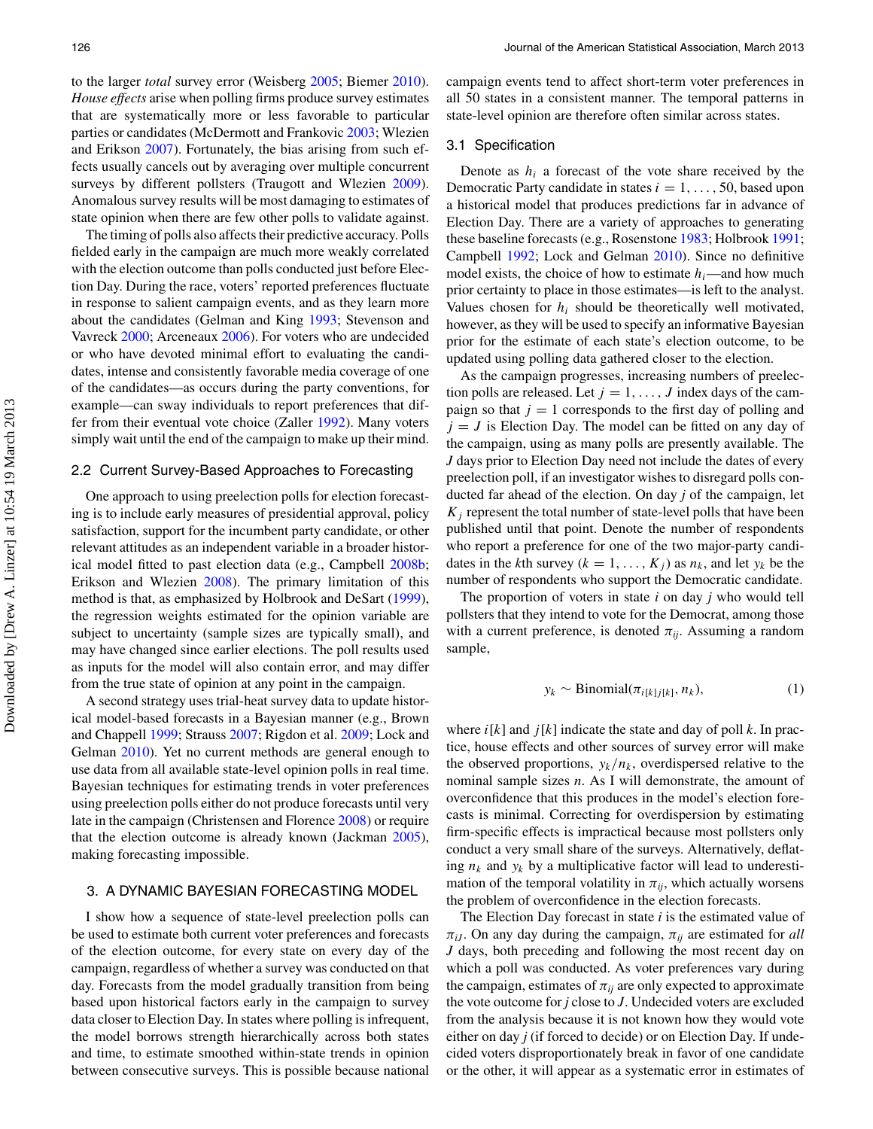to the larger *total* survey error (Weisberg [2005;](#page-10-42) Biemer [2010\)](#page-9-6). *House effects* arise when polling firms produce survey estimates that are systematically more or less favorable to particular parties or candidates (McDermott and Frankovic [2003;](#page-10-43) Wlezien and Erikson [2007\)](#page-10-36). Fortunately, the bias arising from such effects usually cancels out by averaging over multiple concurrent surveys by different pollsters (Traugott and Wlezien [2009\)](#page-10-44). Anomalous survey results will be most damaging to estimates of state opinion when there are few other polls to validate against.

<span id="page-2-15"></span><span id="page-2-0"></span>The timing of polls also affects their predictive accuracy. Polls fielded early in the campaign are much more weakly correlated with the election outcome than polls conducted just before Election Day. During the race, voters' reported preferences fluctuate in response to salient campaign events, and as they learn more about the candidates (Gelman and King [1993;](#page-10-11) Stevenson and Vavreck [2000;](#page-10-45) Arceneaux [2006\)](#page-9-7). For voters who are undecided or who have devoted minimal effort to evaluating the candidates, intense and consistently favorable media coverage of one of the candidates—as occurs during the party conventions, for example—can sway individuals to report preferences that differ from their eventual vote choice (Zaller [1992\)](#page-10-46). Many voters simply wait until the end of the campaign to make up their mind.

# 2.2 Current Survey-Based Approaches to Forecasting

<span id="page-2-6"></span>One approach to using preelection polls for election forecasting is to include early measures of presidential approval, policy satisfaction, support for the incumbent party candidate, or other relevant attitudes as an independent variable in a broader historical model fitted to past election data (e.g., Campbell [2008b;](#page-10-23) Erikson and Wlezien [2008\)](#page-10-22). The primary limitation of this method is that, as emphasized by Holbrook and DeSart [\(1999\)](#page-10-10), the regression weights estimated for the opinion variable are subject to uncertainty (sample sizes are typically small), and may have changed since earlier elections. The poll results used as inputs for the model will also contain error, and may differ from the true state of opinion at any point in the campaign.

<span id="page-2-16"></span><span id="page-2-11"></span><span id="page-2-2"></span>A second strategy uses trial-heat survey data to update historical model-based forecasts in a Bayesian manner (e.g., Brown and Chappell [1999;](#page-9-2) Strauss [2007;](#page-10-47) Rigdon et al. [2009;](#page-10-48) Lock and Gelman [2010\)](#page-10-49). Yet no current methods are general enough to use data from all available state-level opinion polls in real time. Bayesian techniques for estimating trends in voter preferences using preelection polls either do not produce forecasts until very late in the campaign (Christensen and Florence [2008\)](#page-10-50) or require that the election outcome is already known (Jackman [2005\)](#page-10-35), making forecasting impossible.

# 3. A DYNAMIC BAYESIAN FORECASTING MODEL

I show how a sequence of state-level preelection polls can be used to estimate both current voter preferences and forecasts of the election outcome, for every state on every day of the campaign, regardless of whether a survey was conducted on that day. Forecasts from the model gradually transition from being based upon historical factors early in the campaign to survey data closer to Election Day. In states where polling is infrequent, the model borrows strength hierarchically across both states and time, to estimate smoothed within-state trends in opinion between consecutive surveys. This is possible because national <span id="page-2-18"></span><span id="page-2-1"></span>campaign events tend to affect short-term voter preferences in all 50 states in a consistent manner. The temporal patterns in state-level opinion are therefore often similar across states.

## <span id="page-2-12"></span>3.1 Specification

<span id="page-2-17"></span><span id="page-2-14"></span><span id="page-2-8"></span><span id="page-2-3"></span>Denote as  $h_i$  a forecast of the vote share received by the Democratic Party candidate in states  $i = 1, \ldots, 50$ , based upon a historical model that produces predictions far in advance of Election Day. There are a variety of approaches to generating these baseline forecasts (e.g., Rosenstone [1983;](#page-10-51) Holbrook [1991;](#page-10-52) Campbell [1992;](#page-9-8) Lock and Gelman [2010\)](#page-10-49). Since no definitive model exists, the choice of how to estimate  $h_i$ —and how much prior certainty to place in those estimates—is left to the analyst. Values chosen for  $h_i$  should be theoretically well motivated, however, as they will be used to specify an informative Bayesian prior for the estimate of each state's election outcome, to be updated using polling data gathered closer to the election.

<span id="page-2-19"></span><span id="page-2-7"></span>As the campaign progresses, increasing numbers of preelection polls are released. Let  $j = 1, \ldots, J$  index days of the campaign so that  $j = 1$  corresponds to the first day of polling and  $j = J$  is Election Day. The model can be fitted on any day of the campaign, using as many polls are presently available. The *J* days prior to Election Day need not include the dates of every preelection poll, if an investigator wishes to disregard polls conducted far ahead of the election. On day *j* of the campaign, let  $K_i$  represent the total number of state-level polls that have been published until that point. Denote the number of respondents who report a preference for one of the two major-party candidates in the *k*th survey  $(k = 1, ..., K_i)$  as  $n_k$ , and let  $y_k$  be the number of respondents who support the Democratic candidate.

<span id="page-2-9"></span><span id="page-2-4"></span>The proportion of voters in state *i* on day *j* who would tell pollsters that they intend to vote for the Democrat, among those with a current preference, is denoted  $\pi_{ij}$ . Assuming a random sample,

$$
y_k \sim \text{Binomial}(\pi_{i[k]j[k]}, n_k), \tag{1}
$$

<span id="page-2-13"></span>where  $i[k]$  and  $j[k]$  indicate the state and day of poll k. In practice, house effects and other sources of survey error will make the observed proportions,  $y_k/n_k$ , overdispersed relative to the nominal sample sizes *n*. As I will demonstrate, the amount of overconfidence that this produces in the model's election forecasts is minimal. Correcting for overdispersion by estimating firm-specific effects is impractical because most pollsters only conduct a very small share of the surveys. Alternatively, deflating  $n_k$  and  $y_k$  by a multiplicative factor will lead to underestimation of the temporal volatility in  $\pi_{ii}$ , which actually worsens the problem of overconfidence in the election forecasts.

<span id="page-2-10"></span><span id="page-2-5"></span>The Election Day forecast in state *i* is the estimated value of  $\pi_{iJ}$ . On any day during the campaign,  $\pi_{iJ}$  are estimated for *all J* days, both preceding and following the most recent day on which a poll was conducted. As voter preferences vary during the campaign, estimates of  $\pi_{ij}$  are only expected to approximate the vote outcome for *j* close to *J*. Undecided voters are excluded from the analysis because it is not known how they would vote either on day *j* (if forced to decide) or on Election Day. If undecided voters disproportionately break in favor of one candidate or the other, it will appear as a systematic error in estimates of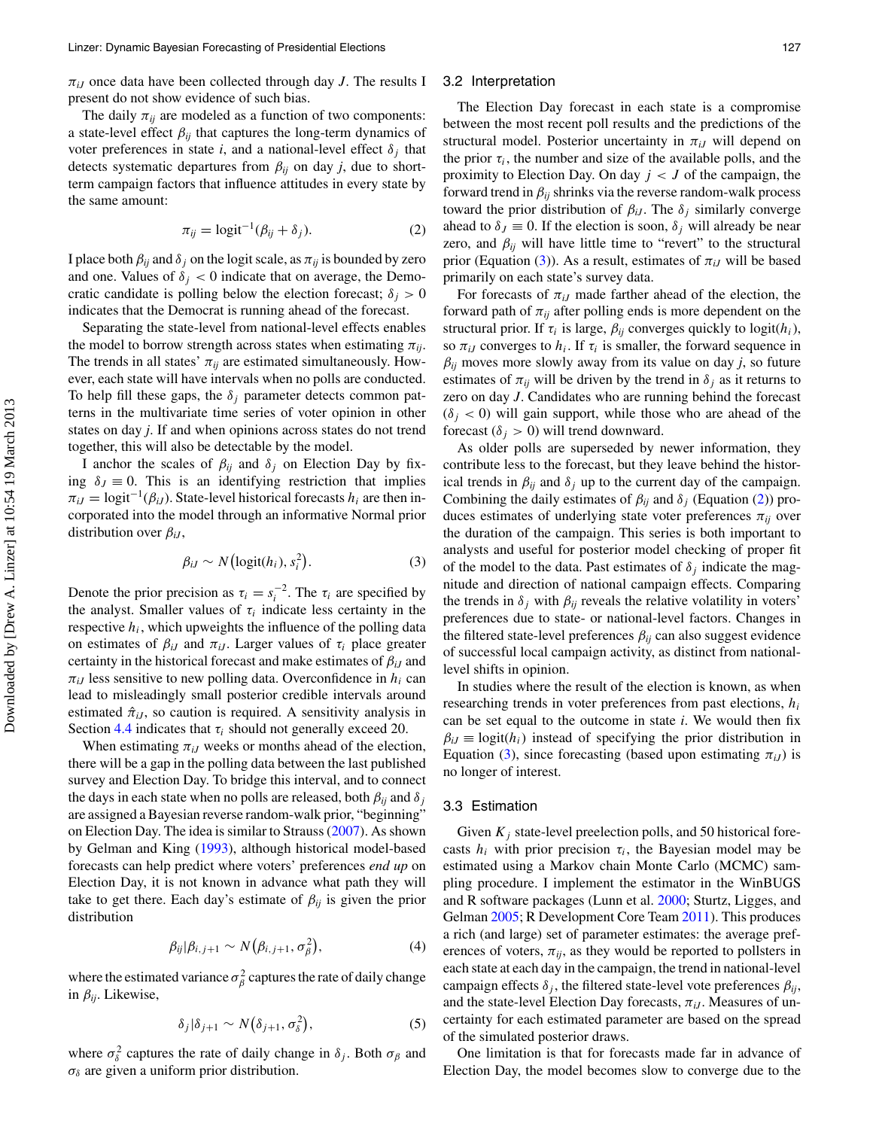$\pi_{iJ}$  once data have been collected through day *J*. The results I present do not show evidence of such bias.

The daily  $\pi_{ii}$  are modeled as a function of two components: a state-level effect  $\beta_{ij}$  that captures the long-term dynamics of voter preferences in state *i*, and a national-level effect  $\delta_i$  that detects systematic departures from  $\beta_{ii}$  on day *j*, due to shortterm campaign factors that influence attitudes in every state by the same amount:

<span id="page-3-1"></span>
$$
\pi_{ij} = \logit^{-1}(\beta_{ij} + \delta_j). \tag{2}
$$

I place both  $\beta_{ij}$  and  $\delta_j$  on the logit scale, as  $\pi_{ij}$  is bounded by zero and one. Values of  $\delta_i < 0$  indicate that on average, the Democratic candidate is polling below the election forecast;  $\delta_i > 0$ indicates that the Democrat is running ahead of the forecast.

Separating the state-level from national-level effects enables the model to borrow strength across states when estimating  $\pi_{ij}$ . The trends in all states'  $\pi_{ij}$  are estimated simultaneously. However, each state will have intervals when no polls are conducted. To help fill these gaps, the  $\delta_i$  parameter detects common patterns in the multivariate time series of voter opinion in other states on day *j*. If and when opinions across states do not trend together, this will also be detectable by the model.

I anchor the scales of  $\beta_{ij}$  and  $\delta_j$  on Election Day by fixing  $\delta_J \equiv 0$ . This is an identifying restriction that implies  $\pi_{iJ} = \text{logit}^{-1}(\beta_{iJ})$ . State-level historical forecasts  $h_i$  are then incorporated into the model through an informative Normal prior distribution over  $\beta_{iJ}$ ,

<span id="page-3-0"></span>
$$
\beta_{iJ} \sim N\big(\text{logit}(h_i), s_i^2\big). \tag{3}
$$

Denote the prior precision as  $\tau_i = s_i^{-2}$ . The  $\tau_i$  are specified by the analyst. Smaller values of  $\tau_i$  indicate less certainty in the respective  $h_i$ , which upweights the influence of the polling data on estimates of  $\beta_{iJ}$  and  $\pi_{iJ}$ . Larger values of  $\tau_i$  place greater certainty in the historical forecast and make estimates of  $\beta_{iJ}$  and  $\pi_{iJ}$  less sensitive to new polling data. Overconfidence in  $h_i$  can lead to misleadingly small posterior credible intervals around estimated  $\hat{\pi}_{iJ}$ , so caution is required. A sensitivity analysis in Section [4.4](#page-8-0) indicates that  $\tau_i$  should not generally exceed 20.

When estimating  $\pi_{iJ}$  weeks or months ahead of the election, there will be a gap in the polling data between the last published survey and Election Day. To bridge this interval, and to connect the days in each state when no polls are released, both  $\beta_{ii}$  and  $\delta_i$ are assigned a Bayesian reverse random-walk prior, "beginning" on Election Day. The idea is similar to Strauss [\(2007\)](#page-10-47). As shown by Gelman and King [\(1993\)](#page-10-11), although historical model-based forecasts can help predict where voters' preferences *end up* on Election Day, it is not known in advance what path they will take to get there. Each day's estimate of  $\beta_{ij}$  is given the prior distribution

<span id="page-3-2"></span>
$$
\beta_{ij}|\beta_{i,j+1} \sim N(\beta_{i,j+1}, \sigma_{\beta}^2), \qquad (4)
$$

where the estimated variance  $\sigma_{\beta}^2$  captures the rate of daily change in β*ij*. Likewise,

$$
\delta_j|\delta_{j+1}\sim N(\delta_{j+1},\sigma_\delta^2),\qquad(5)
$$

where  $\sigma_{\delta}^2$  captures the rate of daily change in  $\delta_j$ . Both  $\sigma_{\beta}$  and  $\sigma_{\delta}$  are given a uniform prior distribution.

#### 3.2 Interpretation

The Election Day forecast in each state is a compromise between the most recent poll results and the predictions of the structural model. Posterior uncertainty in  $\pi_{iJ}$  will depend on the prior  $\tau_i$ , the number and size of the available polls, and the proximity to Election Day. On day  $j < J$  of the campaign, the forward trend in  $\beta_{ij}$  shrinks via the reverse random-walk process toward the prior distribution of  $\beta_{iJ}$ . The  $\delta_i$  similarly converge ahead to  $\delta_J \equiv 0$ . If the election is soon,  $\delta_j$  will already be near zero, and  $\beta_{ii}$  will have little time to "revert" to the structural prior (Equation [\(3\)](#page-3-0)). As a result, estimates of  $\pi_{iJ}$  will be based primarily on each state's survey data.

For forecasts of  $\pi_{iJ}$  made farther ahead of the election, the forward path of  $\pi_{ij}$  after polling ends is more dependent on the structural prior. If  $\tau_i$  is large,  $\beta_{ij}$  converges quickly to logit( $h_i$ ), so  $\pi_{iJ}$  converges to  $h_i$ . If  $\tau_i$  is smaller, the forward sequence in  $\beta_{ij}$  moves more slowly away from its value on day *j*, so future estimates of  $\pi_{ii}$  will be driven by the trend in  $\delta_i$  as it returns to zero on day *J*. Candidates who are running behind the forecast  $(\delta_i < 0)$  will gain support, while those who are ahead of the forecast ( $\delta_i > 0$ ) will trend downward.

As older polls are superseded by newer information, they contribute less to the forecast, but they leave behind the historical trends in  $\beta_{ij}$  and  $\delta_j$  up to the current day of the campaign. Combining the daily estimates of  $\beta_{ij}$  and  $\delta_j$  (Equation [\(2\)](#page-3-1)) produces estimates of underlying state voter preferences  $\pi_{ij}$  over the duration of the campaign. This series is both important to analysts and useful for posterior model checking of proper fit of the model to the data. Past estimates of  $\delta_i$  indicate the magnitude and direction of national campaign effects. Comparing the trends in  $\delta_i$  with  $\beta_{ij}$  reveals the relative volatility in voters' preferences due to state- or national-level factors. Changes in the filtered state-level preferences  $\beta_{ij}$  can also suggest evidence of successful local campaign activity, as distinct from nationallevel shifts in opinion.

In studies where the result of the election is known, as when researching trends in voter preferences from past elections,  $h_i$ can be set equal to the outcome in state *i*. We would then fix  $\beta_{iJ} \equiv \text{logit}(h_i)$  instead of specifying the prior distribution in Equation [\(3\)](#page-3-0), since forecasting (based upon estimating  $\pi_{iJ}$ ) is no longer of interest.

# 3.3 Estimation

<span id="page-3-6"></span><span id="page-3-5"></span><span id="page-3-4"></span><span id="page-3-3"></span>Given  $K_i$  state-level preelection polls, and 50 historical forecasts  $h_i$  with prior precision  $\tau_i$ , the Bayesian model may be estimated using a Markov chain Monte Carlo (MCMC) sampling procedure. I implement the estimator in the WinBUGS and R software packages (Lunn et al. [2000;](#page-10-53) Sturtz, Ligges, and Gelman [2005;](#page-10-54) R Development Core Team [2011\)](#page-10-55). This produces a rich (and large) set of parameter estimates: the average preferences of voters,  $\pi_{ii}$ , as they would be reported to pollsters in each state at each day in the campaign, the trend in national-level campaign effects  $\delta_i$ , the filtered state-level vote preferences  $\beta_{ii}$ , and the state-level Election Day forecasts,  $\pi_{iJ}$ . Measures of uncertainty for each estimated parameter are based on the spread of the simulated posterior draws.

One limitation is that for forecasts made far in advance of Election Day, the model becomes slow to converge due to the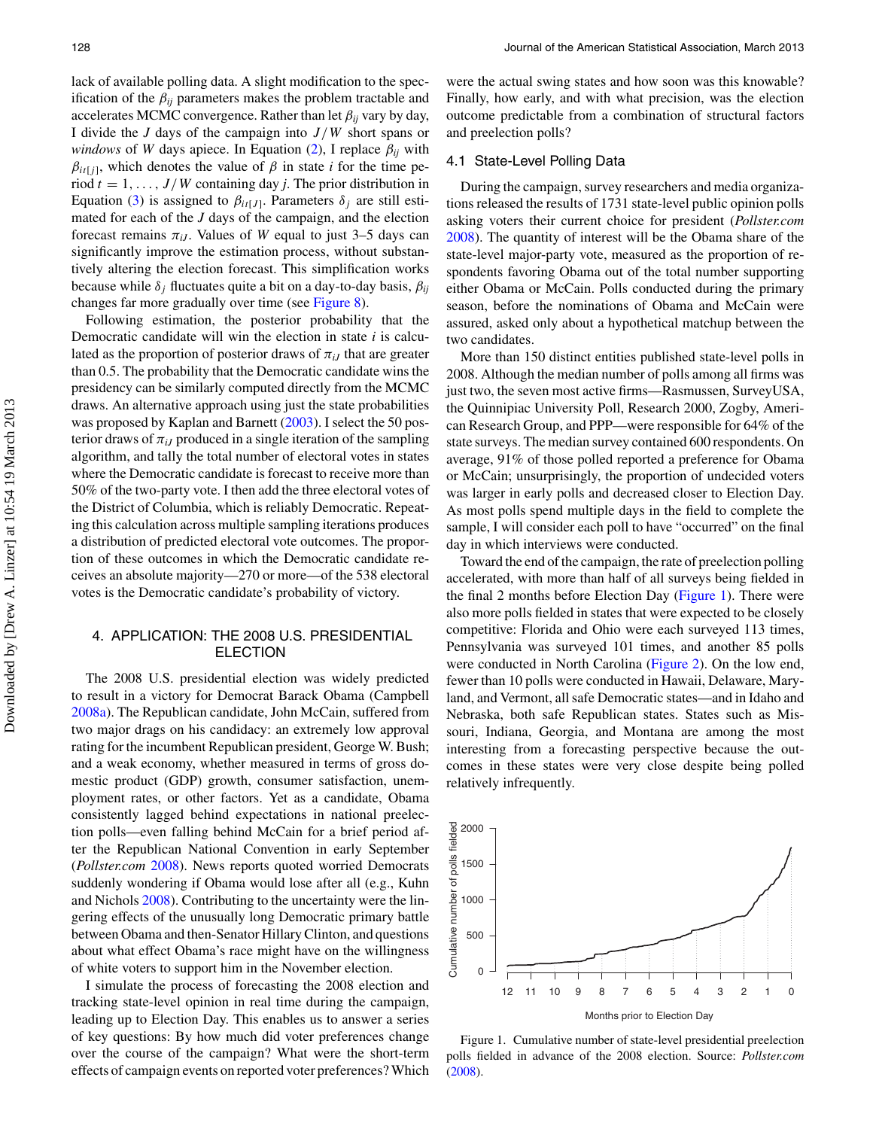lack of available polling data. A slight modification to the specification of the  $\beta_{ij}$  parameters makes the problem tractable and accelerates MCMC convergence. Rather than let  $\beta_{ii}$  vary by day, I divide the  $J$  days of the campaign into  $J/W$  short spans or *windows* of *W* days apiece. In Equation [\(2\)](#page-3-1), I replace  $\beta_{ij}$  with  $\beta_{it}[j]$ , which denotes the value of  $\beta$  in state *i* for the time period  $t = 1, \ldots, J/W$  containing day *j*. The prior distribution in Equation [\(3\)](#page-3-0) is assigned to  $\beta_{it}[J]$ . Parameters  $\delta_j$  are still estimated for each of the *J* days of the campaign, and the election forecast remains  $\pi_{iJ}$ . Values of *W* equal to just 3–5 days can significantly improve the estimation process, without substantively altering the election forecast. This simplification works because while  $\delta_i$  fluctuates quite a bit on a day-to-day basis,  $\beta_{ii}$ changes far more gradually over time (see [Figure 8\)](#page-9-9).

Following estimation, the posterior probability that the Democratic candidate will win the election in state *i* is calculated as the proportion of posterior draws of  $\pi_{iJ}$  that are greater than 0.5. The probability that the Democratic candidate wins the presidency can be similarly computed directly from the MCMC draws. An alternative approach using just the state probabilities was proposed by Kaplan and Barnett [\(2003\)](#page-10-56). I select the 50 posterior draws of  $\pi_{iJ}$  produced in a single iteration of the sampling algorithm, and tally the total number of electoral votes in states where the Democratic candidate is forecast to receive more than 50% of the two-party vote. I then add the three electoral votes of the District of Columbia, which is reliably Democratic. Repeating this calculation across multiple sampling iterations produces a distribution of predicted electoral vote outcomes. The proportion of these outcomes in which the Democratic candidate receives an absolute majority—270 or more—of the 538 electoral votes is the Democratic candidate's probability of victory.

# 4. APPLICATION: THE 2008 U.S. PRESIDENTIAL ELECTION

<span id="page-4-1"></span>The 2008 U.S. presidential election was widely predicted to result in a victory for Democrat Barack Obama (Campbell [2008a\)](#page-10-57). The Republican candidate, John McCain, suffered from two major drags on his candidacy: an extremely low approval rating for the incumbent Republican president, George W. Bush; and a weak economy, whether measured in terms of gross domestic product (GDP) growth, consumer satisfaction, unemployment rates, or other factors. Yet as a candidate, Obama consistently lagged behind expectations in national preelection polls—even falling behind McCain for a brief period after the Republican National Convention in early September (*Pollster.com* [2008\)](#page-10-0). News reports quoted worried Democrats suddenly wondering if Obama would lose after all (e.g., Kuhn and Nichols [2008\)](#page-10-58). Contributing to the uncertainty were the lingering effects of the unusually long Democratic primary battle between Obama and then-Senator Hillary Clinton, and questions about what effect Obama's race might have on the willingness of white voters to support him in the November election.

<span id="page-4-4"></span><span id="page-4-3"></span>I simulate the process of forecasting the 2008 election and tracking state-level opinion in real time during the campaign, leading up to Election Day. This enables us to answer a series of key questions: By how much did voter preferences change over the course of the campaign? What were the short-term effects of campaign events on reported voter preferences?Which

were the actual swing states and how soon was this knowable? Finally, how early, and with what precision, was the election outcome predictable from a combination of structural factors and preelection polls?

# 4.1 State-Level Polling Data

During the campaign, survey researchers and media organizations released the results of 1731 state-level public opinion polls asking voters their current choice for president (*Pollster.com* [2008\)](#page-10-0). The quantity of interest will be the Obama share of the state-level major-party vote, measured as the proportion of respondents favoring Obama out of the total number supporting either Obama or McCain. Polls conducted during the primary season, before the nominations of Obama and McCain were assured, asked only about a hypothetical matchup between the two candidates.

<span id="page-4-2"></span>More than 150 distinct entities published state-level polls in 2008. Although the median number of polls among all firms was just two, the seven most active firms—Rasmussen, SurveyUSA, the Quinnipiac University Poll, Research 2000, Zogby, American Research Group, and PPP—were responsible for 64% of the state surveys. The median survey contained 600 respondents. On average, 91% of those polled reported a preference for Obama or McCain; unsurprisingly, the proportion of undecided voters was larger in early polls and decreased closer to Election Day. As most polls spend multiple days in the field to complete the sample, I will consider each poll to have "occurred" on the final day in which interviews were conducted.

Toward the end of the campaign, the rate of preelection polling accelerated, with more than half of all surveys being fielded in the final 2 months before Election Day [\(Figure 1\)](#page-4-0). There were also more polls fielded in states that were expected to be closely competitive: Florida and Ohio were each surveyed 113 times, Pennsylvania was surveyed 101 times, and another 85 polls were conducted in North Carolina [\(Figure 2\)](#page-5-0). On the low end, fewer than 10 polls were conducted in Hawaii, Delaware, Maryland, and Vermont, all safe Democratic states—and in Idaho and Nebraska, both safe Republican states. States such as Missouri, Indiana, Georgia, and Montana are among the most interesting from a forecasting perspective because the outcomes in these states were very close despite being polled relatively infrequently.

<span id="page-4-0"></span>

Figure 1. Cumulative number of state-level presidential preelection polls fielded in advance of the 2008 election. Source: *Pollster.com* [\(2008\)](#page-10-0).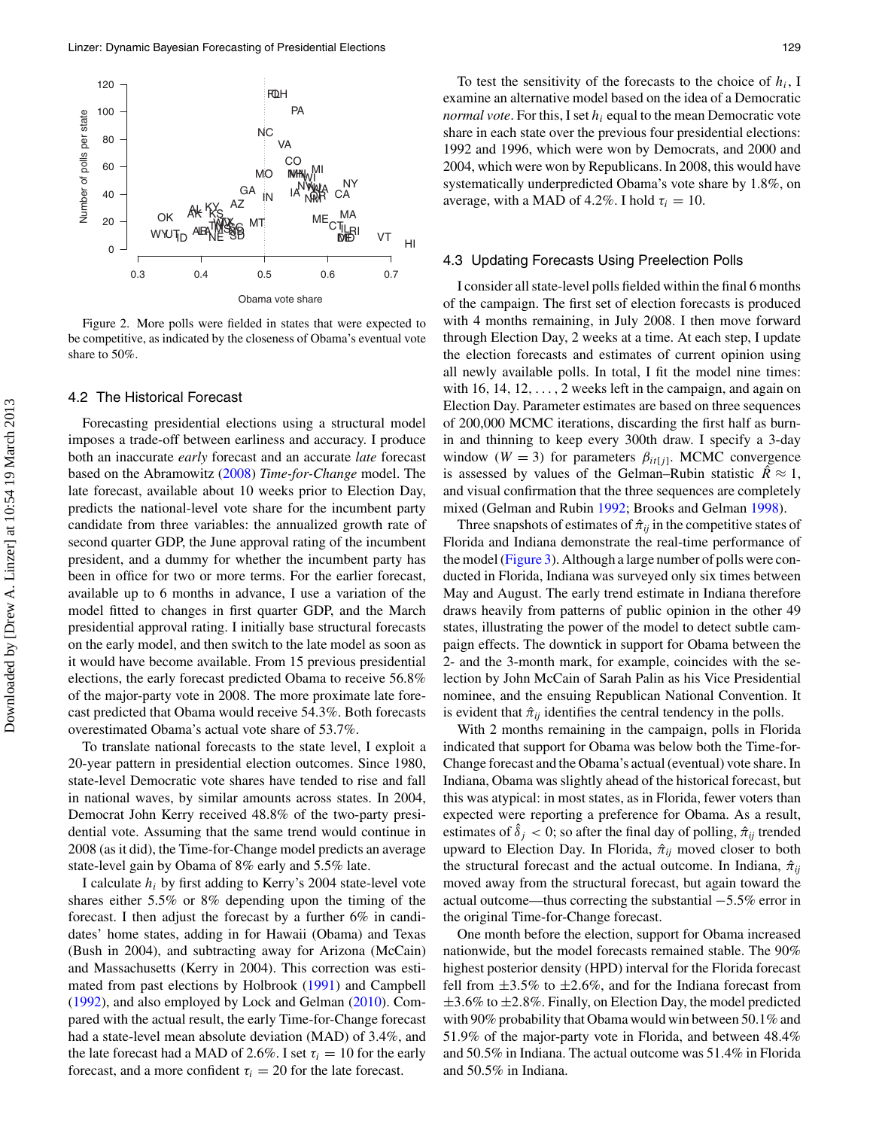<span id="page-5-0"></span>

Figure 2. More polls were fielded in states that were expected to be competitive, as indicated by the closeness of Obama's eventual vote share to 50%.

# 4.2 The Historical Forecast

<span id="page-5-1"></span>Forecasting presidential elections using a structural model imposes a trade-off between earliness and accuracy. I produce both an inaccurate *early* forecast and an accurate *late* forecast based on the Abramowitz [\(2008\)](#page-9-4) *Time-for-Change* model. The late forecast, available about 10 weeks prior to Election Day, predicts the national-level vote share for the incumbent party candidate from three variables: the annualized growth rate of second quarter GDP, the June approval rating of the incumbent president, and a dummy for whether the incumbent party has been in office for two or more terms. For the earlier forecast, available up to 6 months in advance, I use a variation of the model fitted to changes in first quarter GDP, and the March presidential approval rating. I initially base structural forecasts on the early model, and then switch to the late model as soon as it would have become available. From 15 previous presidential elections, the early forecast predicted Obama to receive 56.8% of the major-party vote in 2008. The more proximate late forecast predicted that Obama would receive 54.3%. Both forecasts overestimated Obama's actual vote share of 53.7%.

To translate national forecasts to the state level, I exploit a 20-year pattern in presidential election outcomes. Since 1980, state-level Democratic vote shares have tended to rise and fall in national waves, by similar amounts across states. In 2004, Democrat John Kerry received 48.8% of the two-party presidential vote. Assuming that the same trend would continue in 2008 (as it did), the Time-for-Change model predicts an average state-level gain by Obama of 8% early and 5.5% late.

<span id="page-5-3"></span>I calculate  $h_i$  by first adding to Kerry's 2004 state-level vote shares either 5.5% or 8% depending upon the timing of the forecast. I then adjust the forecast by a further 6% in candidates' home states, adding in for Hawaii (Obama) and Texas (Bush in 2004), and subtracting away for Arizona (McCain) and Massachusetts (Kerry in 2004). This correction was estimated from past elections by Holbrook [\(1991\)](#page-10-52) and Campbell [\(1992\)](#page-9-8), and also employed by Lock and Gelman [\(2010\)](#page-10-49). Compared with the actual result, the early Time-for-Change forecast had a state-level mean absolute deviation (MAD) of 3.4%, and the late forecast had a MAD of 2.6%. I set  $\tau_i = 10$  for the early forecast, and a more confident  $\tau_i = 20$  for the late forecast.

To test the sensitivity of the forecasts to the choice of  $h_i$ , I examine an alternative model based on the idea of a Democratic *normal vote*. For this, I set  $h_i$  equal to the mean Democratic vote share in each state over the previous four presidential elections: 1992 and 1996, which were won by Democrats, and 2000 and 2004, which were won by Republicans. In 2008, this would have systematically underpredicted Obama's vote share by 1.8%, on average, with a MAD of 4.2%. I hold  $\tau_i = 10$ .

#### 4.3 Updating Forecasts Using Preelection Polls

I consider all state-level polls fielded within the final 6 months of the campaign. The first set of election forecasts is produced with 4 months remaining, in July 2008. I then move forward through Election Day, 2 weeks at a time. At each step, I update the election forecasts and estimates of current opinion using all newly available polls. In total, I fit the model nine times: with 16, 14,  $12, \ldots, 2$  weeks left in the campaign, and again on Election Day. Parameter estimates are based on three sequences of 200,000 MCMC iterations, discarding the first half as burnin and thinning to keep every 300th draw. I specify a 3-day window ( $W = 3$ ) for parameters  $\beta_{it}[i]$ . MCMC convergence is assessed by values of the Gelman–Rubin statistic  $R \approx 1$ , and visual confirmation that the three sequences are completely mixed (Gelman and Rubin [1992;](#page-10-59) Brooks and Gelman [1998\)](#page-9-10).

<span id="page-5-4"></span><span id="page-5-2"></span>Three snapshots of estimates of  $\hat{\pi}_{ij}$  in the competitive states of Florida and Indiana demonstrate the real-time performance of the model [\(Figure 3\)](#page-6-0). Although a large number of polls were conducted in Florida, Indiana was surveyed only six times between May and August. The early trend estimate in Indiana therefore draws heavily from patterns of public opinion in the other 49 states, illustrating the power of the model to detect subtle campaign effects. The downtick in support for Obama between the 2- and the 3-month mark, for example, coincides with the selection by John McCain of Sarah Palin as his Vice Presidential nominee, and the ensuing Republican National Convention. It is evident that  $\hat{\pi}_{ij}$  identifies the central tendency in the polls.

With 2 months remaining in the campaign, polls in Florida indicated that support for Obama was below both the Time-for-Change forecast and the Obama's actual (eventual) vote share. In Indiana, Obama was slightly ahead of the historical forecast, but this was atypical: in most states, as in Florida, fewer voters than expected were reporting a preference for Obama. As a result, estimates of  $\hat{\delta}_j < 0$ ; so after the final day of polling,  $\hat{\pi}_{ij}$  trended upward to Election Day. In Florida,  $\hat{\pi}_{ij}$  moved closer to both the structural forecast and the actual outcome. In Indiana,  $\hat{\pi}_{ij}$ moved away from the structural forecast, but again toward the actual outcome—thus correcting the substantial −5.5% error in the original Time-for-Change forecast.

<span id="page-5-6"></span><span id="page-5-5"></span>One month before the election, support for Obama increased nationwide, but the model forecasts remained stable. The 90% highest posterior density (HPD) interval for the Florida forecast fell from  $\pm 3.5\%$  to  $\pm 2.6\%$ , and for the Indiana forecast from  $\pm 3.6\%$  to  $\pm 2.8\%$ . Finally, on Election Day, the model predicted with 90% probability that Obama would win between 50.1% and 51.9% of the major-party vote in Florida, and between 48.4% and 50.5% in Indiana. The actual outcome was 51.4% in Florida and 50.5% in Indiana.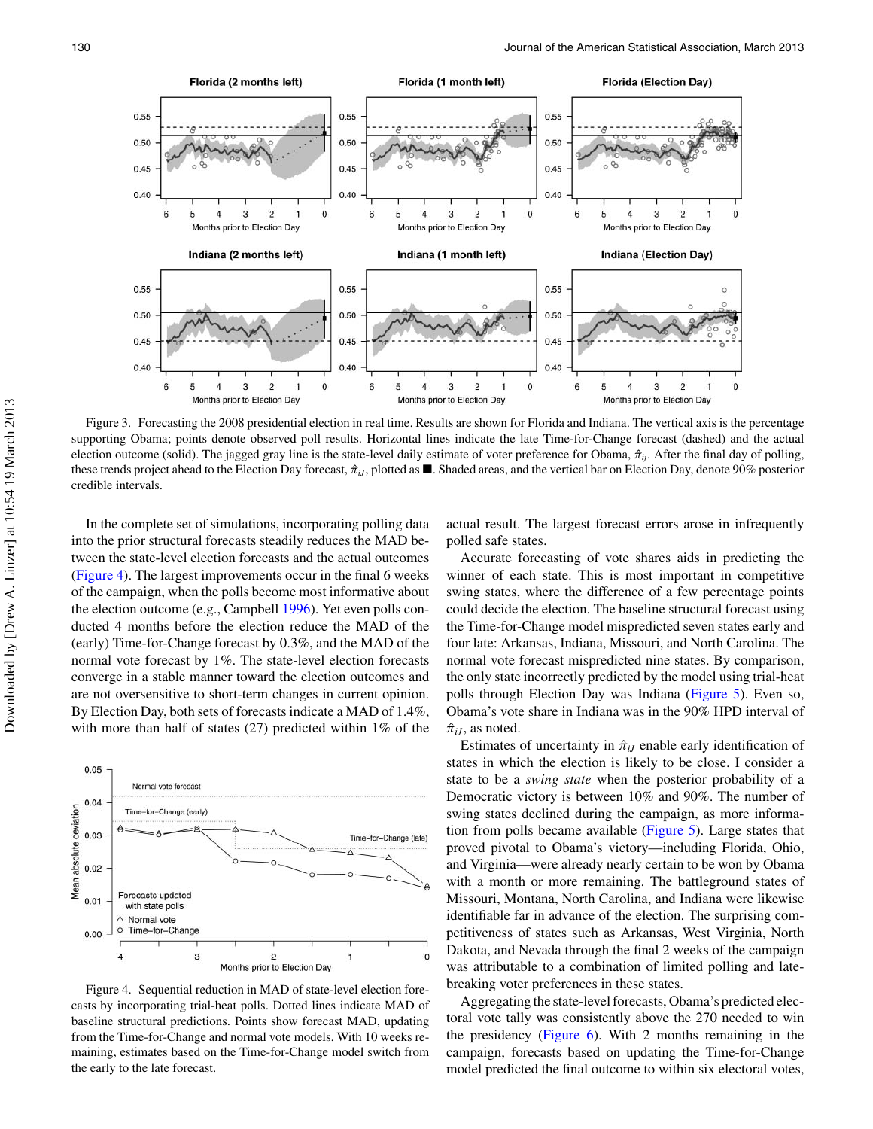<span id="page-6-0"></span>

Figure 3. Forecasting the 2008 presidential election in real time. Results are shown for Florida and Indiana. The vertical axis is the percentage supporting Obama; points denote observed poll results. Horizontal lines indicate the late Time-for-Change forecast (dashed) and the actual election outcome (solid). The jagged gray line is the state-level daily estimate of voter preference for Obama,  $\hat{\pi}_{ii}$ . After the final day of polling, these trends project ahead to the Election Day forecast,  $\hat{\pi}_{iJ}$ , plotted as ■. Shaded areas, and the vertical bar on Election Day, denote 90% posterior credible intervals.

In the complete set of simulations, incorporating polling data into the prior structural forecasts steadily reduces the MAD between the state-level election forecasts and the actual outcomes [\(Figure 4\)](#page-6-1). The largest improvements occur in the final 6 weeks of the campaign, when the polls become most informative about the election outcome (e.g., Campbell [1996\)](#page-9-5). Yet even polls conducted 4 months before the election reduce the MAD of the (early) Time-for-Change forecast by 0.3%, and the MAD of the normal vote forecast by 1%. The state-level election forecasts converge in a stable manner toward the election outcomes and are not oversensitive to short-term changes in current opinion. By Election Day, both sets of forecasts indicate a MAD of 1.4%, with more than half of states (27) predicted within 1% of the

<span id="page-6-1"></span>

Figure 4. Sequential reduction in MAD of state-level election forecasts by incorporating trial-heat polls. Dotted lines indicate MAD of baseline structural predictions. Points show forecast MAD, updating from the Time-for-Change and normal vote models. With 10 weeks remaining, estimates based on the Time-for-Change model switch from the early to the late forecast.

actual result. The largest forecast errors arose in infrequently polled safe states.

<span id="page-6-2"></span>Accurate forecasting of vote shares aids in predicting the winner of each state. This is most important in competitive swing states, where the difference of a few percentage points could decide the election. The baseline structural forecast using the Time-for-Change model mispredicted seven states early and four late: Arkansas, Indiana, Missouri, and North Carolina. The normal vote forecast mispredicted nine states. By comparison, the only state incorrectly predicted by the model using trial-heat polls through Election Day was Indiana [\(Figure 5\)](#page-7-0). Even so, Obama's vote share in Indiana was in the 90% HPD interval of  $\hat{\pi}_{iJ}$ , as noted.

Estimates of uncertainty in  $\hat{\pi}_{iJ}$  enable early identification of states in which the election is likely to be close. I consider a state to be a *swing state* when the posterior probability of a Democratic victory is between 10% and 90%. The number of swing states declined during the campaign, as more information from polls became available [\(Figure 5\)](#page-7-0). Large states that proved pivotal to Obama's victory—including Florida, Ohio, and Virginia—were already nearly certain to be won by Obama with a month or more remaining. The battleground states of Missouri, Montana, North Carolina, and Indiana were likewise identifiable far in advance of the election. The surprising competitiveness of states such as Arkansas, West Virginia, North Dakota, and Nevada through the final 2 weeks of the campaign was attributable to a combination of limited polling and latebreaking voter preferences in these states.

Aggregating the state-level forecasts, Obama's predicted electoral vote tally was consistently above the 270 needed to win the presidency [\(Figure 6\)](#page-8-1). With 2 months remaining in the campaign, forecasts based on updating the Time-for-Change model predicted the final outcome to within six electoral votes,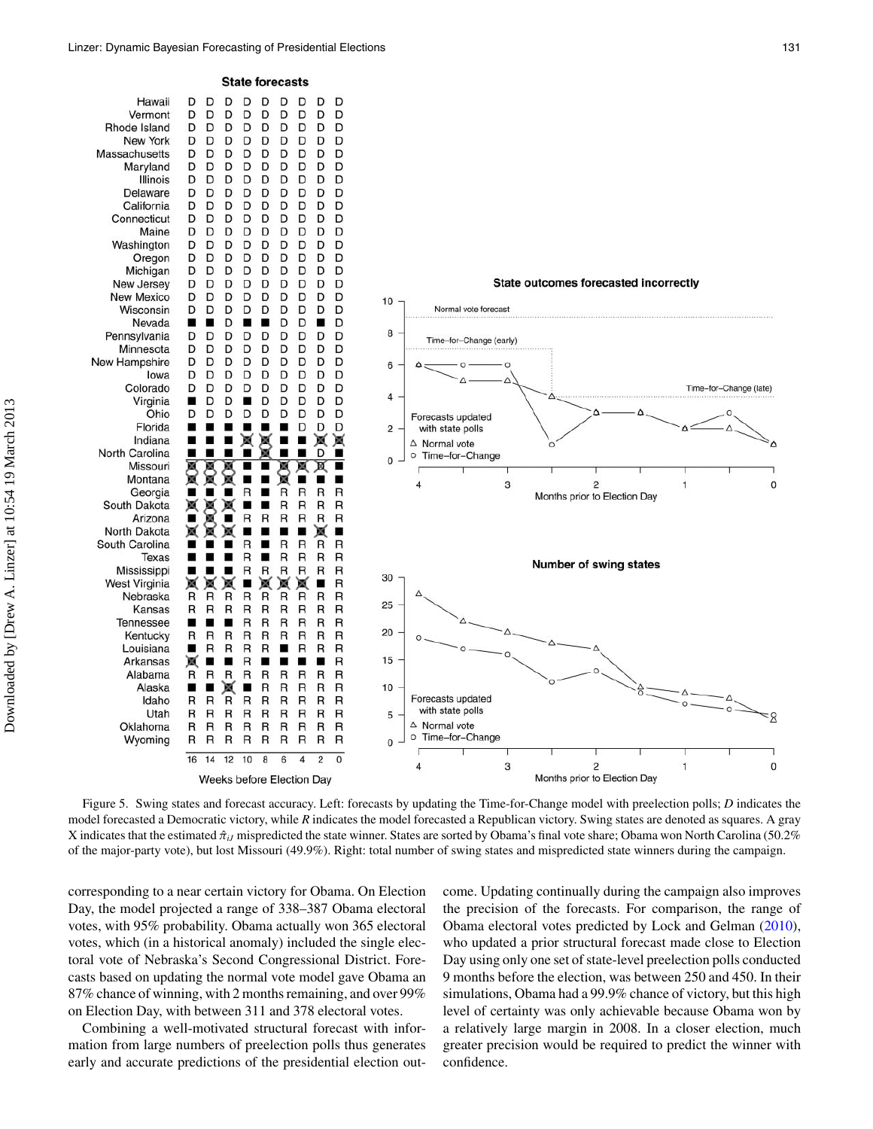<span id="page-7-0"></span>

#### **State forecasts**



 $^{\rm 8}$ Weeks before Election Day

R

 $\mathsf{R}$  $\mathsf{R}$ 

 $\sf 6$  $\overline{4}$  $\overline{2}$   $\mathsf{R}$ 

 $\overline{0}$ 

R

 $\overline{R}$ 

10

Wyoming

R R R

 $\overline{16}$  $14$  $\overline{12}$ 

Figure 5. Swing states and forecast accuracy. Left: forecasts by updating the Time-for-Change model with preelection polls; *D* indicates the model forecasted a Democratic victory, while *R* indicates the model forecasted a Republican victory. Swing states are denoted as squares. A gray X indicates that the estimated  $\hat{\pi}_{i}$  mispredicted the state winner. States are sorted by Obama's final vote share; Obama won North Carolina (50.2%) of the major-party vote), but lost Missouri (49.9%). Right: total number of swing states and mispredicted state winners during the campaign.

corresponding to a near certain victory for Obama. On Election Day, the model projected a range of 338–387 Obama electoral votes, with 95% probability. Obama actually won 365 electoral votes, which (in a historical anomaly) included the single electoral vote of Nebraska's Second Congressional District. Forecasts based on updating the normal vote model gave Obama an 87% chance of winning, with 2 months remaining, and over 99% on Election Day, with between 311 and 378 electoral votes.

Combining a well-motivated structural forecast with information from large numbers of preelection polls thus generates early and accurate predictions of the presidential election out-

come. Updating continually during the campaign also improves the precision of the forecasts. For comparison, the range of Obama electoral votes predicted by Lock and Gelman [\(2010\)](#page-10-49), who updated a prior structural forecast made close to Election Day using only one set of state-level preelection polls conducted 9 months before the election, was between 250 and 450. In their simulations, Obama had a 99.9% chance of victory, but this high level of certainty was only achievable because Obama won by a relatively large margin in 2008. In a closer election, much greater precision would be required to predict the winner with confidence.

<span id="page-7-1"></span>Months prior to Election Day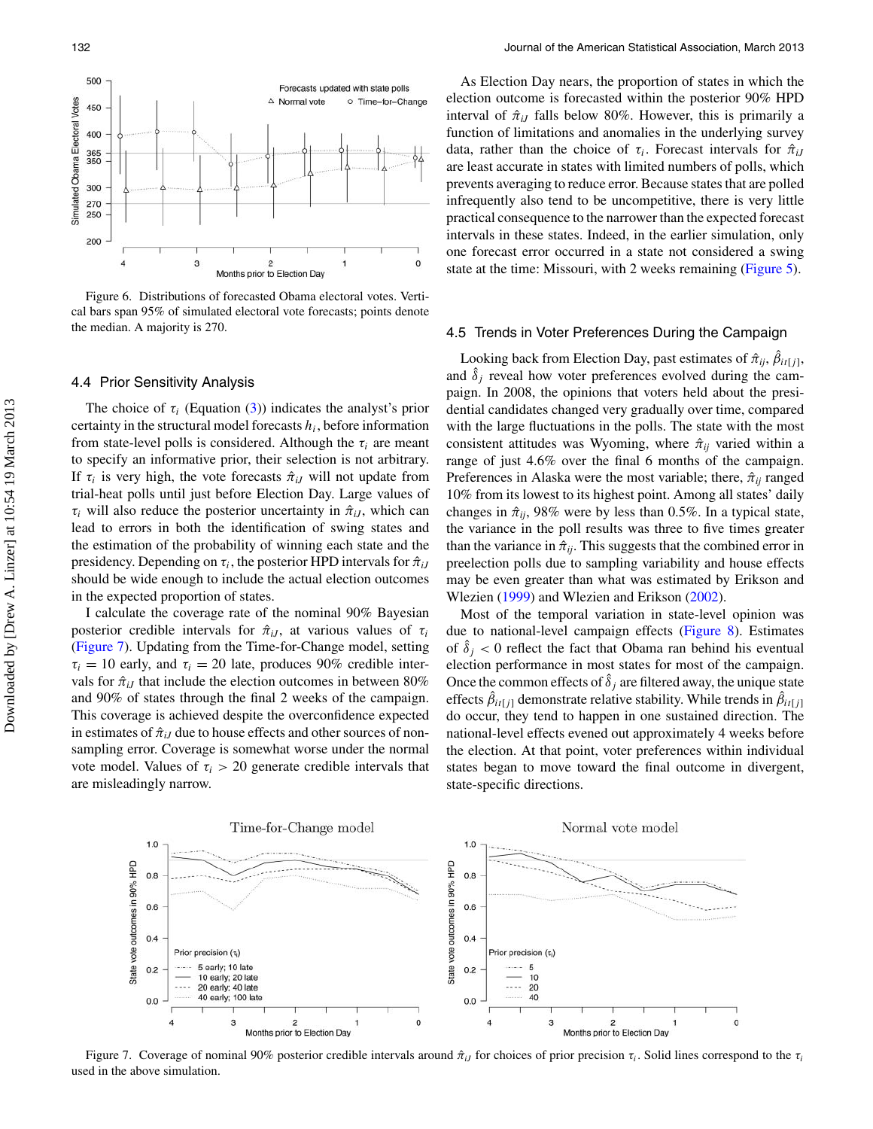<span id="page-8-1"></span>

Figure 6. Distributions of forecasted Obama electoral votes. Vertical bars span 95% of simulated electoral vote forecasts; points denote the median. A majority is 270.

### <span id="page-8-0"></span>4.4 Prior Sensitivity Analysis

The choice of  $\tau_i$  (Equation [\(3\)](#page-3-0)) indicates the analyst's prior certainty in the structural model forecasts  $h_i$ , before information from state-level polls is considered. Although the  $\tau_i$  are meant to specify an informative prior, their selection is not arbitrary. If  $\tau_i$  is very high, the vote forecasts  $\hat{\pi}_{iJ}$  will not update from trial-heat polls until just before Election Day. Large values of  $\tau_i$  will also reduce the posterior uncertainty in  $\hat{\pi}_{iJ}$ , which can lead to errors in both the identification of swing states and the estimation of the probability of winning each state and the presidency. Depending on  $\tau_i$ , the posterior HPD intervals for  $\hat{\pi}_{i,j}$ should be wide enough to include the actual election outcomes in the expected proportion of states.

I calculate the coverage rate of the nominal 90% Bayesian posterior credible intervals for  $\hat{\pi}_{i,j}$ , at various values of  $\tau_i$ [\(Figure 7\)](#page-8-2). Updating from the Time-for-Change model, setting  $\tau_i = 10$  early, and  $\tau_i = 20$  late, produces 90% credible intervals for  $\hat{\pi}_{i}$  that include the election outcomes in between 80% and 90% of states through the final 2 weeks of the campaign. This coverage is achieved despite the overconfidence expected in estimates of  $\hat{\pi}_{i}$  due to house effects and other sources of nonsampling error. Coverage is somewhat worse under the normal vote model. Values of  $\tau_i > 20$  generate credible intervals that are misleadingly narrow.

As Election Day nears, the proportion of states in which the election outcome is forecasted within the posterior 90% HPD interval of  $\hat{\pi}_{iJ}$  falls below 80%. However, this is primarily a function of limitations and anomalies in the underlying survey data, rather than the choice of  $\tau_i$ . Forecast intervals for  $\hat{\pi}_{i,j}$ are least accurate in states with limited numbers of polls, which prevents averaging to reduce error. Because states that are polled infrequently also tend to be uncompetitive, there is very little practical consequence to the narrower than the expected forecast intervals in these states. Indeed, in the earlier simulation, only one forecast error occurred in a state not considered a swing state at the time: Missouri, with 2 weeks remaining [\(Figure 5\)](#page-7-0).

#### 4.5 Trends in Voter Preferences During the Campaign

Looking back from Election Day, past estimates of  $\hat{\pi}_{ij}$ ,  $\hat{\beta}_{it[j]}$ , and  $\hat{\delta}_j$  reveal how voter preferences evolved during the campaign. In 2008, the opinions that voters held about the presidential candidates changed very gradually over time, compared with the large fluctuations in the polls. The state with the most consistent attitudes was Wyoming, where  $\hat{\pi}_{ij}$  varied within a range of just 4.6% over the final 6 months of the campaign. Preferences in Alaska were the most variable; there,  $\hat{\pi}_{ij}$  ranged 10% from its lowest to its highest point. Among all states' daily changes in  $\hat{\pi}_{ij}$ , 98% were by less than 0.5%. In a typical state, the variance in the poll results was three to five times greater than the variance in  $\hat{\pi}_{ij}$ . This suggests that the combined error in preelection polls due to sampling variability and house effects may be even greater than what was estimated by Erikson and Wlezien [\(1999\)](#page-10-15) and Wlezien and Erikson [\(2002\)](#page-10-16).

<span id="page-8-4"></span><span id="page-8-3"></span>Most of the temporal variation in state-level opinion was due to national-level campaign effects [\(Figure 8\)](#page-9-9). Estimates of  $\hat{\delta}_j < 0$  reflect the fact that Obama ran behind his eventual election performance in most states for most of the campaign. Once the common effects of  $\hat{\delta}_j$  are filtered away, the unique state effects  $\hat{\beta}_{it[j]}$  demonstrate relative stability. While trends in  $\hat{\beta}_{it[j]}$ do occur, they tend to happen in one sustained direction. The national-level effects evened out approximately 4 weeks before the election. At that point, voter preferences within individual states began to move toward the final outcome in divergent, state-specific directions.

<span id="page-8-2"></span>

Figure 7. Coverage of nominal 90% posterior credible intervals around  $\hat{\pi}_{iJ}$  for choices of prior precision τ<sub>i</sub>. Solid lines correspond to the τ<sub>i</sub> used in the above simulation.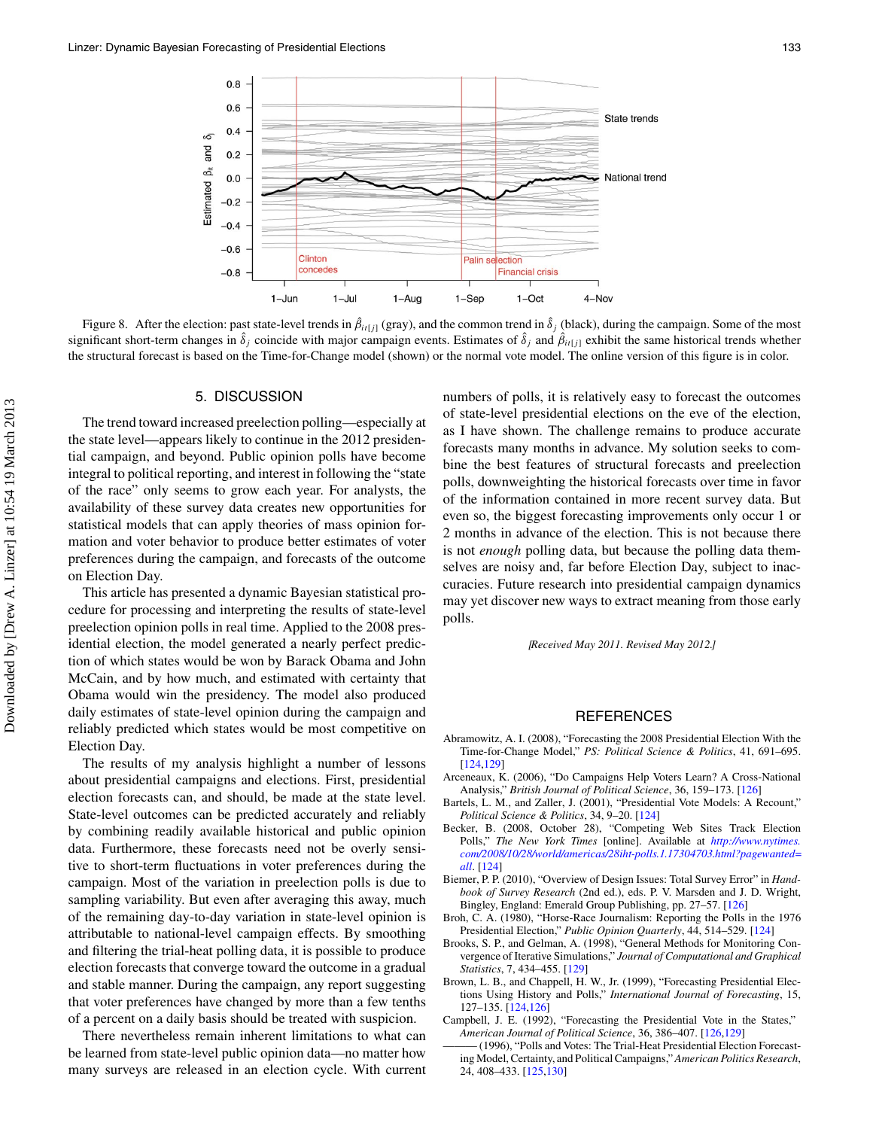<span id="page-9-9"></span>

Figure 8. After the election: past state-level trends in  $\hat{\beta}_{i}[j]}$  (gray), and the common trend in  $\hat{\delta}_j$  (black), during the campaign. Some of the most significant short-term changes in  $\hat{\delta}_j$  coincide with major campaign events. Estimates of  $\hat{\delta}_j$  and  $\hat{\beta}_{i}$  exhibit the same historical trends whether the structural forecast is based on the Time-for-Change model (shown) or the normal vote model. The online version of this figure is in color.

#### 5. DISCUSSION

The trend toward increased preelection polling—especially at the state level—appears likely to continue in the 2012 presidential campaign, and beyond. Public opinion polls have become integral to political reporting, and interest in following the "state of the race" only seems to grow each year. For analysts, the availability of these survey data creates new opportunities for statistical models that can apply theories of mass opinion formation and voter behavior to produce better estimates of voter preferences during the campaign, and forecasts of the outcome on Election Day.

This article has presented a dynamic Bayesian statistical procedure for processing and interpreting the results of state-level preelection opinion polls in real time. Applied to the 2008 presidential election, the model generated a nearly perfect prediction of which states would be won by Barack Obama and John McCain, and by how much, and estimated with certainty that Obama would win the presidency. The model also produced daily estimates of state-level opinion during the campaign and reliably predicted which states would be most competitive on Election Day.

The results of my analysis highlight a number of lessons about presidential campaigns and elections. First, presidential election forecasts can, and should, be made at the state level. State-level outcomes can be predicted accurately and reliably by combining readily available historical and public opinion data. Furthermore, these forecasts need not be overly sensitive to short-term fluctuations in voter preferences during the campaign. Most of the variation in preelection polls is due to sampling variability. But even after averaging this away, much of the remaining day-to-day variation in state-level opinion is attributable to national-level campaign effects. By smoothing and filtering the trial-heat polling data, it is possible to produce election forecasts that converge toward the outcome in a gradual and stable manner. During the campaign, any report suggesting that voter preferences have changed by more than a few tenths of a percent on a daily basis should be treated with suspicion.

There nevertheless remain inherent limitations to what can be learned from state-level public opinion data—no matter how many surveys are released in an election cycle. With current numbers of polls, it is relatively easy to forecast the outcomes of state-level presidential elections on the eve of the election, as I have shown. The challenge remains to produce accurate forecasts many months in advance. My solution seeks to combine the best features of structural forecasts and preelection polls, downweighting the historical forecasts over time in favor of the information contained in more recent survey data. But even so, the biggest forecasting improvements only occur 1 or 2 months in advance of the election. This is not because there is not *enough* polling data, but because the polling data themselves are noisy and, far before Election Day, subject to inaccuracies. Future research into presidential campaign dynamics may yet discover new ways to extract meaning from those early polls.

*[Received May 2011. Revised May 2012.]*

#### <span id="page-9-7"></span><span id="page-9-6"></span><span id="page-9-3"></span><span id="page-9-1"></span>**REFERENCES**

- Abramowitz, A. I. (2008), "Forecasting the 2008 Presidential Election With the Time-for-Change Model," *PS: Political Science & Politics*, 41, 691–695. [\[124](#page-0-0)[,129\]](#page-5-1)
- <span id="page-9-4"></span>Arceneaux, K. (2006), "Do Campaigns Help Voters Learn? A Cross-National Analysis," *British Journal of Political Science*, 36, 159–173. [\[126\]](#page-2-0)
- Bartels, L. M., and Zaller, J. (2001), "Presidential Vote Models: A Recount," *Political Science & Politics*, 34, 9–20. [\[124\]](#page-0-1)
- Becker, B. (2008, October 28), "Competing Web Sites Track Election Polls," *The New York Times* [online]. Available at *http://www.nytimes. co[m/2008/10/28/world/americas/28iht-polls.1.17304703](http://www.nytimes.com/2008/10/28/world/americas/28iht-polls.1.17304703.html?pagewanted=all).html?pagewanted= all*. [\[124\]](#page-0-2)
- <span id="page-9-0"></span>Biemer, P. P. (2010), "Overview of Design Issues: Total Survey Error" in *Handbook of Survey Research* (2nd ed.), eds. P. V. Marsden and J. D. Wright, Bingley, England: Emerald Group Publishing, pp. 27–57. [\[126\]](#page-2-1)
- Broh, C. A. (1980), "Horse-Race Journalism: Reporting the Polls in the 1976 Presidential Election," *Public Opinion Quarterly*, 44, 514–529. [\[124\]](#page-0-3)
- Brooks, S. P., and Gelman, A. (1998), "General Methods for Monitoring Convergence of Iterative Simulations," *Journal of Computational and Graphical Statistics*, 7, 434–455. [\[129\]](#page-5-2)
- <span id="page-9-10"></span>Brown, L. B., and Chappell, H. W., Jr. (1999), "Forecasting Presidential Elections Using History and Polls," *International Journal of Forecasting*, 15, 127–135. [\[124,](#page-0-4)[126\]](#page-2-2)
- Campbell, J. E. (1992), "Forecasting the Presidential Vote in the States," *American Journal of Political Science*, 36, 386–407. [\[126,](#page-2-3)[129\]](#page-5-3)
- <span id="page-9-8"></span><span id="page-9-5"></span><span id="page-9-2"></span>——— (1996), "Polls and Votes: The Trial-Heat Presidential Election Forecasting Model, Certainty, and Political Campaigns," *American Politics Research*, 24, 408–433. [\[125,](#page-1-0)[130\]](#page-6-2)